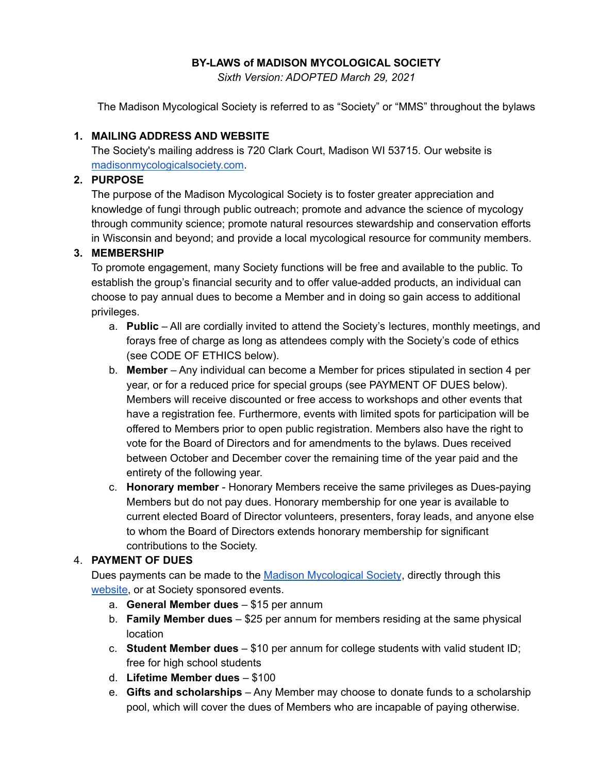### **BY-LAWS of MADISON MYCOLOGICAL SOCIETY**

*Sixth Version: ADOPTED March 29, 2021*

The Madison Mycological Society is referred to as "Society" or "MMS" throughout the bylaws

### **1. MAILING ADDRESS AND WEBSITE**

The Society's mailing address is 720 Clark Court, Madison WI 53715. Our website is [madisonmycologicalsociety.com.](http://madisonmycologicalsociety.com)

### **2. PURPOSE**

The purpose of the Madison Mycological Society is to foster greater appreciation and knowledge of fungi through public outreach; promote and advance the science of mycology through community science; promote natural resources stewardship and conservation efforts in Wisconsin and beyond; and provide a local mycological resource for community members.

#### **3. MEMBERSHIP**

To promote engagement, many Society functions will be free and available to the public. To establish the group's financial security and to offer value-added products, an individual can choose to pay annual dues to become a Member and in doing so gain access to additional privileges.

- a. **Public** All are cordially invited to attend the Society's lectures, monthly meetings, and forays free of charge as long as attendees comply with the Society's code of ethics (see CODE OF ETHICS below).
- b. **Member** Any individual can become a Member for prices stipulated in section 4 per year, or for a reduced price for special groups (see PAYMENT OF DUES below). Members will receive discounted or free access to workshops and other events that have a registration fee. Furthermore, events with limited spots for participation will be offered to Members prior to open public registration. Members also have the right to vote for the Board of Directors and for amendments to the bylaws. Dues received between October and December cover the remaining time of the year paid and the entirety of the following year.
- c. **Honorary member** Honorary Members receive the same privileges as Dues-paying Members but do not pay dues. Honorary membership for one year is available to current elected Board of Director volunteers, presenters, foray leads, and anyone else to whom the Board of Directors extends honorary membership for significant contributions to the Society.

#### 4. **PAYMENT OF DUES**

Dues payments can be made to the Madison [Mycological](https://madisonmycologicalsociety.com/membership/?v=7516fd43adaa) Society, directly through this [website,](https://manage.campaignzee.com/f5nGuRdk1a) or at Society sponsored events.

- a. **General Member dues** \$15 per annum
- b. **Family Member dues** \$25 per annum for members residing at the same physical location
- c. **Student Member dues** \$10 per annum for college students with valid student ID; free for high school students
- d. **Lifetime Member dues** \$100
- e. **Gifts and scholarships** Any Member may choose to donate funds to a scholarship pool, which will cover the dues of Members who are incapable of paying otherwise.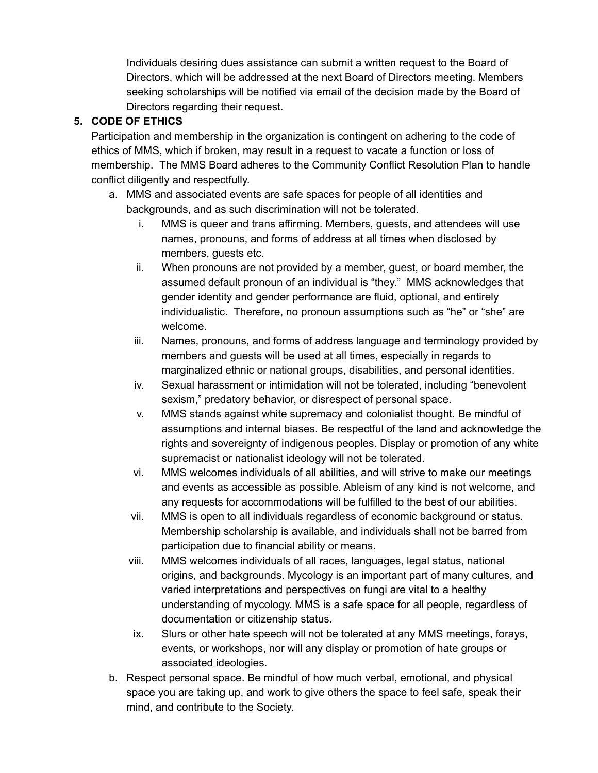Individuals desiring dues assistance can submit a written request to the Board of Directors, which will be addressed at the next Board of Directors meeting. Members seeking scholarships will be notified via email of the decision made by the Board of Directors regarding their request.

### **5. CODE OF ETHICS**

Participation and membership in the organization is contingent on adhering to the code of ethics of MMS, which if broken, may result in a request to vacate a function or loss of membership. The MMS Board adheres to the Community Conflict Resolution Plan to handle conflict diligently and respectfully.

- a. MMS and associated events are safe spaces for people of all identities and backgrounds, and as such discrimination will not be tolerated.
	- i. MMS is queer and trans affirming. Members, guests, and attendees will use names, pronouns, and forms of address at all times when disclosed by members, guests etc.
	- ii. When pronouns are not provided by a member, guest, or board member, the assumed default pronoun of an individual is "they." MMS acknowledges that gender identity and gender performance are fluid, optional, and entirely individualistic. Therefore, no pronoun assumptions such as "he" or "she" are welcome.
	- iii. Names, pronouns, and forms of address language and terminology provided by members and guests will be used at all times, especially in regards to marginalized ethnic or national groups, disabilities, and personal identities.
	- iv. Sexual harassment or intimidation will not be tolerated, including "benevolent sexism," predatory behavior, or disrespect of personal space.
	- v. MMS stands against white supremacy and colonialist thought. Be mindful of assumptions and internal biases. Be respectful of the land and acknowledge the rights and sovereignty of indigenous peoples. Display or promotion of any white supremacist or nationalist ideology will not be tolerated.
	- vi. MMS welcomes individuals of all abilities, and will strive to make our meetings and events as accessible as possible. Ableism of any kind is not welcome, and any requests for accommodations will be fulfilled to the best of our abilities.
	- vii. MMS is open to all individuals regardless of economic background or status. Membership scholarship is available, and individuals shall not be barred from participation due to financial ability or means.
	- viii. MMS welcomes individuals of all races, languages, legal status, national origins, and backgrounds. Mycology is an important part of many cultures, and varied interpretations and perspectives on fungi are vital to a healthy understanding of mycology. MMS is a safe space for all people, regardless of documentation or citizenship status.
	- ix. Slurs or other hate speech will not be tolerated at any MMS meetings, forays, events, or workshops, nor will any display or promotion of hate groups or associated ideologies.
- b. Respect personal space. Be mindful of how much verbal, emotional, and physical space you are taking up, and work to give others the space to feel safe, speak their mind, and contribute to the Society.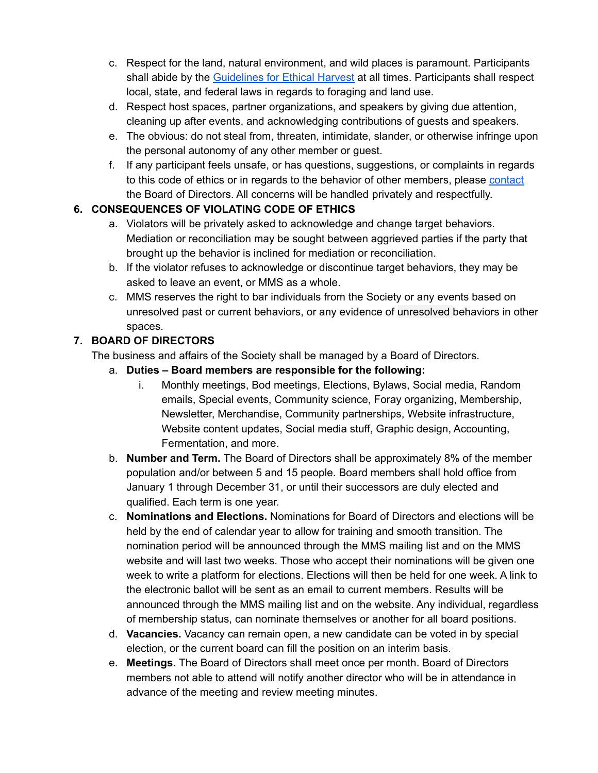- c. Respect for the land, natural environment, and wild places is paramount. Participants shall abide by the [Guidelines](https://drive.google.com/open?id=19iMp9nXg0JggyaO9fpokv2cboe9muWkm-Pmh0lWVmvo) for Ethical Harvest at all times. Participants shall respect local, state, and federal laws in regards to foraging and land use.
- d. Respect host spaces, partner organizations, and speakers by giving due attention, cleaning up after events, and acknowledging contributions of guests and speakers.
- e. The obvious: do not steal from, threaten, intimidate, slander, or otherwise infringe upon the personal autonomy of any other member or guest.
- f. If any participant feels unsafe, or has questions, suggestions, or complaints in regards to this code of ethics or in regards to the behavior of other members, please [contact](https://madisonmycologicalsociety.com/contact/?v=7516fd43adaa) the Board of Directors. All concerns will be handled privately and respectfully.

## **6. CONSEQUENCES OF VIOLATING CODE OF ETHICS**

- a. Violators will be privately asked to acknowledge and change target behaviors. Mediation or reconciliation may be sought between aggrieved parties if the party that brought up the behavior is inclined for mediation or reconciliation.
- b. If the violator refuses to acknowledge or discontinue target behaviors, they may be asked to leave an event, or MMS as a whole.
- c. MMS reserves the right to bar individuals from the Society or any events based on unresolved past or current behaviors, or any evidence of unresolved behaviors in other spaces.

## **7. BOARD OF DIRECTORS**

The business and affairs of the Society shall be managed by a Board of Directors.

- a. **Duties – Board members are responsible for the following:**
	- i. Monthly meetings, Bod meetings, Elections, Bylaws, Social media, Random emails, Special events, Community science, Foray organizing, Membership, Newsletter, Merchandise, Community partnerships, Website infrastructure, Website content updates, Social media stuff, Graphic design, Accounting, Fermentation, and more.
- b. **Number and Term.** The Board of Directors shall be approximately 8% of the member population and/or between 5 and 15 people. Board members shall hold office from January 1 through December 31, or until their successors are duly elected and qualified. Each term is one year.
- c. **Nominations and Elections.** Nominations for Board of Directors and elections will be held by the end of calendar year to allow for training and smooth transition. The nomination period will be announced through the MMS mailing list and on the MMS website and will last two weeks. Those who accept their nominations will be given one week to write a platform for elections. Elections will then be held for one week. A link to the electronic ballot will be sent as an email to current members. Results will be announced through the MMS mailing list and on the website. Any individual, regardless of membership status, can nominate themselves or another for all board positions.
- d. **Vacancies.** Vacancy can remain open, a new candidate can be voted in by special election, or the current board can fill the position on an interim basis.
- e. **Meetings.** The Board of Directors shall meet once per month. Board of Directors members not able to attend will notify another director who will be in attendance in advance of the meeting and review meeting minutes.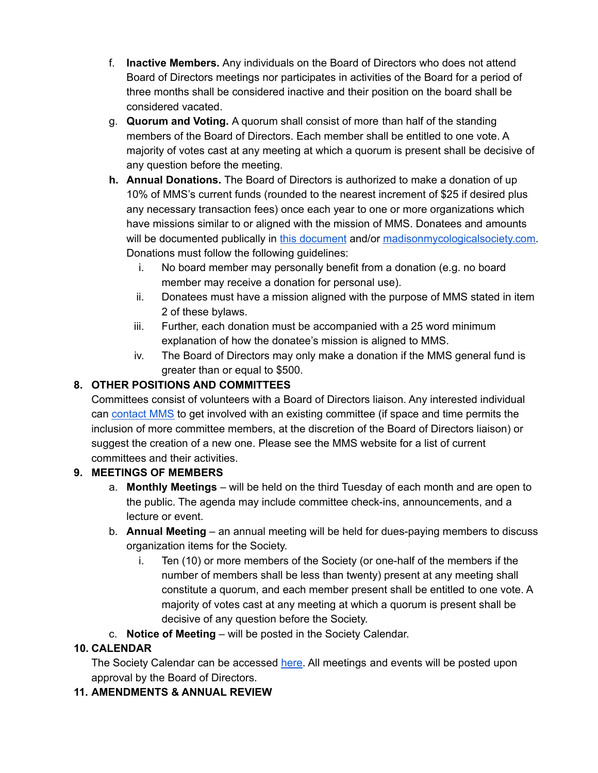- f. **Inactive Members.** Any individuals on the Board of Directors who does not attend Board of Directors meetings nor participates in activities of the Board for a period of three months shall be considered inactive and their position on the board shall be considered vacated.
- g. **Quorum and Voting.** A quorum shall consist of more than half of the standing members of the Board of Directors. Each member shall be entitled to one vote. A majority of votes cast at any meeting at which a quorum is present shall be decisive of any question before the meeting.
- **h. Annual Donations.** The Board of Directors is authorized to make a donation of up 10% of MMS's current funds (rounded to the nearest increment of \$25 if desired plus any necessary transaction fees) once each year to one or more organizations which have missions similar to or aligned with the mission of MMS. Donatees and amounts will be documented publically in this [document](https://docs.google.com/document/d/14pli_HheqvmXp5LlFlV4-fAMYSUhmKnBW2ucclaYit8/edit?usp=sharing) and/or [madisonmycologicalsociety.com.](https://madisonmycologicalsociety.com/) Donations must follow the following guidelines:
	- i. No board member may personally benefit from a donation (e.g. no board member may receive a donation for personal use).
	- ii. Donatees must have a mission aligned with the purpose of MMS stated in item 2 of these bylaws.
	- iii. Further, each donation must be accompanied with a 25 word minimum explanation of how the donatee's mission is aligned to MMS.
	- iv. The Board of Directors may only make a donation if the MMS general fund is greater than or equal to \$500.

# **8. OTHER POSITIONS AND COMMITTEES**

Committees consist of volunteers with a Board of Directors liaison. Any interested individual can [contact](https://madisonmycologicalsociety.com/contact/?v=7516fd43adaa) MMS to get involved with an existing committee (if space and time permits the inclusion of more committee members, at the discretion of the Board of Directors liaison) or suggest the creation of a new one. Please see the MMS website for a list of current committees and their activities.

## **9. MEETINGS OF MEMBERS**

- a. **Monthly Meetings** will be held on the third Tuesday of each month and are open to the public. The agenda may include committee check-ins, announcements, and a lecture or event.
- b. **Annual Meeting** an annual meeting will be held for dues-paying members to discuss organization items for the Society.
	- i. Ten (10) or more members of the Society (or one-half of the members if the number of members shall be less than twenty) present at any meeting shall constitute a quorum, and each member present shall be entitled to one vote. A majority of votes cast at any meeting at which a quorum is present shall be decisive of any question before the Society.
- c. **Notice of Meeting** will be posted in the Society Calendar.

## **10. CALENDAR**

The Society Calendar can be accessed [here.](https://calendar.google.com/calendar/embed?src=6lckffmlng285n8ev99q3lohcg%40group.calendar.google.com&ctz=America%2FChicago) All meetings and events will be posted upon approval by the Board of Directors.

## **11. AMENDMENTS & ANNUAL REVIEW**